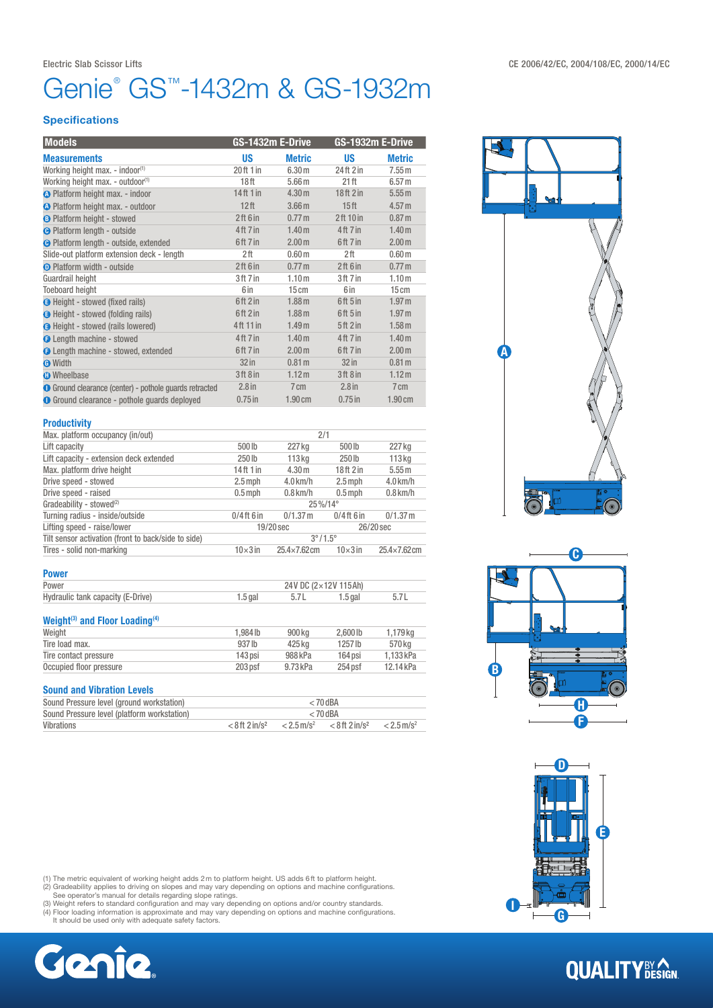## Genie® GS™-1432m & GS-1932m

### **Specifications**

| <b>Models</b>                                                 | GS-1432m E-Drive |                    | GS-1932m E-Drive                 |                   |
|---------------------------------------------------------------|------------------|--------------------|----------------------------------|-------------------|
| <b>Measurements</b>                                           | <b>US</b>        | <b>Metric</b>      | <b>US</b>                        | <b>Metric</b>     |
| Working height max. - indoor <sup>(1)</sup>                   | 20ft1in          | 6.30 <sub>m</sub>  | 24 <sup>th</sup> 2 <sup>in</sup> | 7.55m             |
| Working height max. - outdoor <sup>(1)</sup>                  | 18 <sup>ft</sup> | 5.66 <sub>m</sub>  | 21 <sup>th</sup>                 | 6.57 <sub>m</sub> |
| <b>O</b> Platform height max. - indoor                        | $14$ ft $1$ in   | 4.30 m             | 18ft 2in                         | 5.55 m            |
| O Platform height max. - outdoor                              | 12 <sup>ft</sup> | 3.66 <sub>m</sub>  | 15 <sup>ft</sup>                 | 4.57 m            |
| <b>B</b> Platform height - stowed                             | 2ft 6in          | 0.77 <sub>m</sub>  | 2ft 10 in                        | 0.87 <sub>m</sub> |
| <b>O</b> Platform length - outside                            | 4ft 7in          | 1.40 <sub>m</sub>  | 4ft 7in                          | 1.40 <sub>m</sub> |
| <b>O</b> Platform length - outside, extended                  | 6ft 7 in         | 2.00 <sub>m</sub>  | 6ft 7 in                         | 2.00 <sub>m</sub> |
| Slide-out platform extension deck - length                    | 2 <sup>ft</sup>  | 0.60 <sub>m</sub>  | 2 <sup>ft</sup>                  | 0.60 <sub>m</sub> |
| <b>D</b> Platform width - outside                             | 2ft 6in          | 0.77 <sub>m</sub>  | 2ft 6in                          | 0.77 <sub>m</sub> |
| Guardrail height                                              | 3ft 7in          | 1.10 <sub>m</sub>  | 3ft 7in                          | 1.10 <sub>m</sub> |
| <b>Toeboard height</b>                                        | 6 in             | 15cm               | 6 in                             | 15cm              |
| <b>B</b> Height - stowed (fixed rails)                        | $6ft$ 2 in       | 1.88 <sub>m</sub>  | 6ft 5in                          | 1.97 <sub>m</sub> |
| <b>B</b> Height - stowed (folding rails)                      | $6ft$ 2 in       | 1.88 <sub>m</sub>  | 6ft 5in                          | 1.97 <sub>m</sub> |
| <b>G</b> Height - stowed (rails lowered)                      | 4ft 11 in        | 1.49 <sub>m</sub>  | 5ft2in                           | 1.58 <sub>m</sub> |
| <b>O</b> Length machine - stowed                              | 4ft 7in          | 1.40 <sub>m</sub>  | 4 <sup>ft</sup> 7 in             | 1.40 <sub>m</sub> |
| <b>O</b> Length machine - stowed, extended                    | 6ft 7 in         | 2.00 <sub>m</sub>  | 6ft 7 in                         | 2.00 <sub>m</sub> |
| <b>O</b> Width                                                | $32$ in          | 0.81 <sub>m</sub>  | $32$ in                          | 0.81 <sub>m</sub> |
| <b>O</b> Wheelbase                                            | 3ft8in           | 1.12 <sub>m</sub>  | 3ft8in                           | 1.12 <sub>m</sub> |
| <b>O</b> Ground clearance (center) - pothole guards retracted | $2.8$ in         | $7 \, \mathrm{cm}$ | 2.8 <sub>in</sub>                | 7 cm              |
| <b>O</b> Ground clearance - pothole guards deployed           | $0.75$ in        | 1.90 cm            | $0.75$ in                        | 1.90cm            |
|                                                               |                  |                    |                                  |                   |

#### **Productivity**

| Max. platform occupancy (in/out)                    | 2/1                      |                    |                 |                     |
|-----------------------------------------------------|--------------------------|--------------------|-----------------|---------------------|
| Lift capacity                                       | 500lb                    | 227 kg             | 500 lb          | 227 kg              |
| Lift capacity - extension deck extended             | 250 <sub>Ib</sub>        | 113 <sub>kq</sub>  | 250 lb          | $113$ kg            |
| Max. platform drive height                          | 14ft 1 in                | 4.30 m             | 18ft 2in        | 5.55 m              |
| Drive speed - stowed                                | $2.5$ mph                | $4.0$ km/h         | $2.5$ mph       | $4.0$ km/h          |
| Drive speed - raised                                | $0.5$ mph                | $0.8$ km/h         | $0.5$ mph       | $0.8$ km/h          |
| Gradeability - stowed <sup>(2)</sup>                | 25%/14°                  |                    |                 |                     |
| Turning radius - inside/outside                     | $0/4$ ft 6 in            | $0/1.37$ m         | $0/4$ ft 6 in   | $0/1.37$ m          |
| Lifting speed - raise/lower                         | $19/20$ sec<br>26/20 sec |                    |                 |                     |
| Tilt sensor activation (front to back/side to side) | $3^{\circ}/1.5^{\circ}$  |                    |                 |                     |
| Tires - solid non-marking                           | $10\times 3$ in          | $25.4\times7.62cm$ | $10\times 3$ in | $25.4\times7.62$ cm |

| <b>Power</b>                      |           |                      |           |     |
|-----------------------------------|-----------|----------------------|-----------|-----|
| Power                             |           | 24V DC (2×12V 115Ah) |           |     |
| Hydraulic tank capacity (E-Drive) | $1.5$ gal | -5.7 L               | $1.5$ gal | 5.7 |

### Weight<sup>(3)</sup> and Floor Loading<sup>(4)</sup>

| Weight                  | 1.984 lb  | 900 kg   | 2.6001 <sub>b</sub> | 1,179 kg  |
|-------------------------|-----------|----------|---------------------|-----------|
| Tire load max.          | 937 lb    | 425 kg   | 1257 lb             | 570 kg    |
| Tire contact pressure   | 143 psi   | 988 kPa  | 164 psi             | 1.133 kPa |
| Occupied floor pressure | $203$ psf | 9.73 kPa | 254 psf             | 12.14 kPa |
|                         |           |          |                     |           |

### Sound and Vibration Levels

| ______________________                      |                              |                          |                              |                          |
|---------------------------------------------|------------------------------|--------------------------|------------------------------|--------------------------|
| Sound Pressure level (ground workstation)   | $< 70$ dBA                   |                          |                              |                          |
| Sound Pressure level (platform workstation) | $< 70$ dBA                   |                          |                              |                          |
| Vibrations                                  | $< 8$ ft 2 in/s <sup>2</sup> | $< 2.5$ m/s <sup>2</sup> | $< 8$ ft 2 in/s <sup>2</sup> | $< 2.5$ m/s <sup>2</sup> |



(1) The metric equivalent of working height adds 2 m to platform height. US adds 6 ft to platform height.<br>(2) Gradeability applies to driving on slopes and may vary depending on options and machine configurations.<br>(3) Weig









# **QUALITY**BY CON